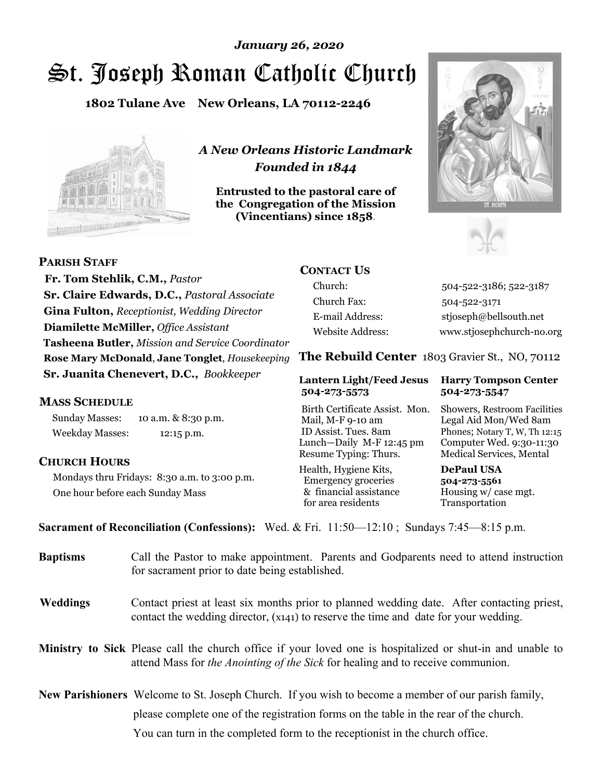# St. Joseph Roman Catholic Church *January 26, 2020*

**1802 Tulane Ave New Orleans, LA 70112-2246**



*A New Orleans Historic Landmark Founded in 1844* 

**Entrusted to the pastoral care of the Congregation of the Mission (Vincentians) since 1858**.





 **Fr. Tom Stehlik, C.M.,** *Pastor* **Sr. Claire Edwards, D.C.,** *Pastoral Associate* **Gina Fulton,** *Receptionist, Wedding Director* **Diamilette McMiller,** *Office Assistant* **Tasheena Butler,** *Mission and Service Coordinator* **Rose Mary McDonald**, **Jane Tonglet**, *Housekeeping* **Sr. Juanita Chenevert, D.C.,** *Bookkeeper* 

### **MASS SCHEDULE**

**PARISH STAFF**

Sunday Masses: 10 a.m. & 8:30 p.m. Weekday Masses: 12:15 p.m.

### **CHURCH HOURS**

Mondays thru Fridays: 8:30 a.m. to 3:00 p.m. One hour before each Sunday Mass

# **CONTACT US**

Church: 504-522-3186; 522-3187 Church Fax: 504-522-3171 E-mail Address: stjoseph@bellsouth.net Website Address: www.stjosephchurch-no.org

**The Rebuild Center** 1803 Gravier St., NO, 70112

#### **Lantern Light/Feed Jesus Harry Tompson Center 504-273-5573 504-273-5547**

Birth Certificate Assist. Mon. Showers, Restroom Facilities Mail, M-F 9-10 am Legal Aid Mon/Wed 8am ID Assist. Tues. 8am Phones; Notary T, W, Th 12:15 Lunch—Daily M-F 12:45 pm Computer Wed. 9:30-11:30 Resume Typing: Thurs. Medical Services, Mental

Health, Hygiene Kits, **DePaul USA**  Emergency groceries **504-273-5561** & financial assistance Housing w/ case mgt. for area residents Transportation

**Sacrament of Reconciliation (Confessions):** Wed. & Fri. 11:50—12:10 ; Sundays 7:45—8:15 p.m.

| <b>Baptisms</b> | Call the Pastor to make appointment. Parents and Godparents need to attend instruction<br>for sacrament prior to date being established.                                                            |  |  |
|-----------------|-----------------------------------------------------------------------------------------------------------------------------------------------------------------------------------------------------|--|--|
| <b>Weddings</b> | Contact priest at least six months prior to planned wedding date. After contacting priest,<br>contact the wedding director, (x141) to reserve the time and date for your wedding.                   |  |  |
|                 | <b>Ministry to Sick</b> Please call the church office if your loved one is hospitalized or shut-in and unable to<br>attend Mass for the Anointing of the Sick for healing and to receive communion. |  |  |
|                 | <b>New Parishioners</b> Welcome to St. Joseph Church. If you wish to become a member of our parish family,                                                                                          |  |  |
|                 | please complete one of the registration forms on the table in the rear of the church.                                                                                                               |  |  |
|                 | You can turn in the completed form to the reception is the church office.                                                                                                                           |  |  |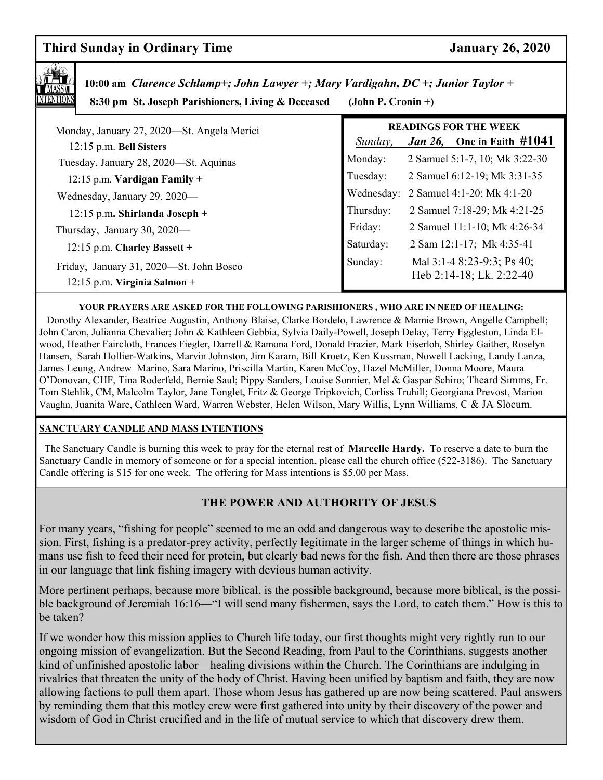# **Third Sunday in Ordinary Time January 26, 2020**



 **10:00 am** *Clarence Schlamp+; John Lawyer +; Mary Vardigahn, DC +; Junior Taylor +*

 **8:30 pm St. Joseph Parishioners, Living & Deceased (John P. Cronin +)**

| $\frac{1}{2}$ of $\frac{1}{2}$ or $\frac{1}{2}$ or $\frac{1}{2}$ in $\frac{1}{2}$ in $\frac{1}{2}$ or $\frac{1}{2}$ or $\frac{1}{2}$ or $\frac{1}{2}$ or $\frac{1}{2}$ | $100$ and $1100$ cannot $1$ |                                                                       |
|------------------------------------------------------------------------------------------------------------------------------------------------------------------------|-----------------------------|-----------------------------------------------------------------------|
| Monday, January 27, 2020—St. Angela Merici<br>12:15 p.m. Bell Sisters                                                                                                  | Sunday,                     | <b>READINGS FOR THE WEEK</b><br><i>Jan 26</i> , One in Faith $\#1041$ |
| Tuesday, January 28, 2020—St. Aquinas                                                                                                                                  | Monday:                     | 2 Samuel 5:1-7, 10; Mk 3:22-30                                        |
| 12:15 p.m. Vardigan Family +                                                                                                                                           | Tuesday:                    | 2 Samuel 6:12-19; Mk 3:31-35                                          |
| Wednesday, January 29, 2020—                                                                                                                                           |                             | Wednesday: 2 Samuel 4:1-20; Mk 4:1-20                                 |
| $12:15$ p.m. Shirlanda Joseph +                                                                                                                                        | Thursday:                   | 2 Samuel 7:18-29; Mk 4:21-25                                          |
| Thursday, January 30, 2020-                                                                                                                                            | Friday:                     | 2 Samuel 11:1-10; Mk 4:26-34                                          |
| 12:15 p.m. Charley Bassett +                                                                                                                                           | Saturday:                   | 2 Sam 12:1-17; Mk 4:35-41                                             |
| Friday, January 31, 2020—St. John Bosco<br>$12:15$ p.m. Virginia Salmon +                                                                                              | Sunday:                     | Mal 3:1-4 8:23-9:3; Ps 40;<br>Heb 2:14-18; Lk. 2:22-40                |

#### **YOUR PRAYERS ARE ASKED FOR THE FOLLOWING PARISHIONERS , WHO ARE IN NEED OF HEALING:**

 Dorothy Alexander, Beatrice Augustin, Anthony Blaise, Clarke Bordelo, Lawrence & Mamie Brown, Angelle Campbell; John Caron, Julianna Chevalier; John & Kathleen Gebbia, Sylvia Daily-Powell, Joseph Delay, Terry Eggleston, Linda Elwood, Heather Faircloth, Frances Fiegler, Darrell & Ramona Ford, Donald Frazier, Mark Eiserloh, Shirley Gaither, Roselyn Hansen, Sarah Hollier-Watkins, Marvin Johnston, Jim Karam, Bill Kroetz, Ken Kussman, Nowell Lacking, Landy Lanza, James Leung, Andrew Marino, Sara Marino, Priscilla Martin, Karen McCoy, Hazel McMiller, Donna Moore, Maura O'Donovan, CHF, Tina Roderfeld, Bernie Saul; Pippy Sanders, Louise Sonnier, Mel & Gaspar Schiro; Theard Simms, Fr. Tom Stehlik, CM, Malcolm Taylor, Jane Tonglet, Fritz & George Tripkovich, Corliss Truhill; Georgiana Prevost, Marion Vaughn, Juanita Ware, Cathleen Ward, Warren Webster, Helen Wilson, Mary Willis, Lynn Williams, C & JA Slocum.

#### **SANCTUARY CANDLE AND MASS INTENTIONS**

 The Sanctuary Candle is burning this week to pray for the eternal rest of **Marcelle Hardy.** To reserve a date to burn the Sanctuary Candle in memory of someone or for a special intention, please call the church office (522-3186). The Sanctuary Candle offering is \$15 for one week. The offering for Mass intentions is \$5.00 per Mass.

## **THE POWER AND AUTHORITY OF JESUS**

For many years, "fishing for people" seemed to me an odd and dangerous way to describe the apostolic mission. First, fishing is a predator-prey activity, perfectly legitimate in the larger scheme of things in which humans use fish to feed their need for protein, but clearly bad news for the fish. And then there are those phrases in our language that link fishing imagery with devious human activity.

More pertinent perhaps, because more biblical, is the possible background, because more biblical, is the possible background of Jeremiah 16:16—"I will send many fishermen, says the Lord, to catch them." How is this to be taken?

If we wonder how this mission applies to Church life today, our first thoughts might very rightly run to our ongoing mission of evangelization. But the Second Reading, from Paul to the Corinthians, suggests another kind of unfinished apostolic labor—healing divisions within the Church. The Corinthians are indulging in rivalries that threaten the unity of the body of Christ. Having been unified by baptism and faith, they are now allowing factions to pull them apart. Those whom Jesus has gathered up are now being scattered. Paul answers by reminding them that this motley crew were first gathered into unity by their discovery of the power and wisdom of God in Christ crucified and in the life of mutual service to which that discovery drew them.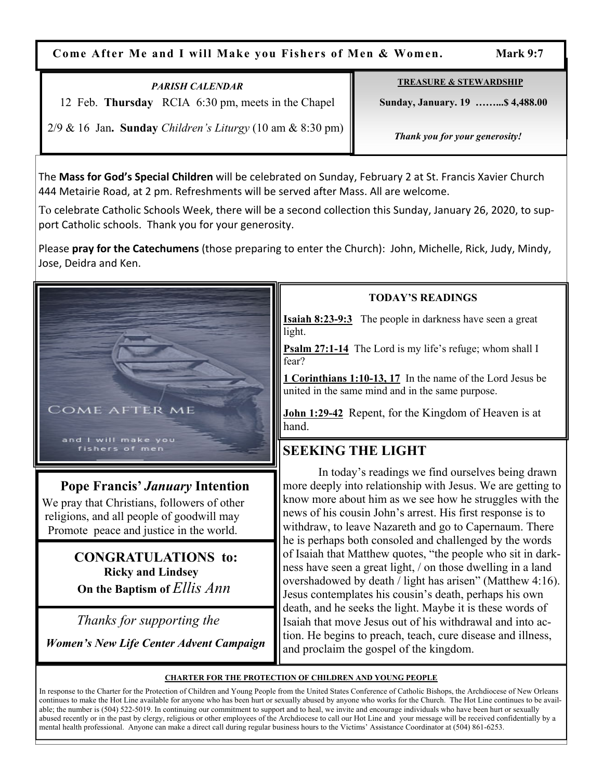**Come After Me and I will Make you Fishers of Men & Women. Mark 9:7** 

# *PARISH CALENDAR*

12 Feb. **Thursday** RCIA 6:30 pm, meets in the Chapel

**TREASURE & STEWARDSHIP**

 **Sunday, January. 19 ……...\$ 4,488.00** 

2/9 & 16 Jan**. Sunday** *Children's Liturgy* (10 am & 8:30 pm)

 *Thank you for your generosity!* 

The **Mass for God's Special Children** will be celebrated on Sunday, February 2 at St. Francis Xavier Church 444 Metairie Road, at 2 pm. Refreshments will be served after Mass. All are welcome.

To celebrate Catholic Schools Week, there will be a second collection this Sunday, January 26, 2020, to support Catholic schools. Thank you for your generosity.

Please **pray for the Catechumens** (those preparing to enter the Church): John, Michelle, Rick, Judy, Mindy, Jose, Deidra and Ken.



# **Pope Francis'** *January* **Intention**

 We pray that Christians, followers of other religions, and all people of goodwill may Promote peace and justice in the world.

> **CONGRATULATIONS to: Ricky and Lindsey On the Baptism of** *Ellis Ann*

 *Thanks for supporting the* 

 *Women's New Life Center Advent Campaign*

# **TODAY'S READINGS**

**Isaiah 8:23-9:3** The people in darkness have seen a great light.

**Psalm 27:1-14** The Lord is my life's refuge; whom shall I fear?

**1 Corinthians 1:10-13, 17** In the name of the Lord Jesus be united in the same mind and in the same purpose.

**John 1:29-42** Repent, for the Kingdom of Heaven is at hand.

# **SEEKING THE LIGHT**

 In today's readings we find ourselves being drawn more deeply into relationship with Jesus. We are getting to know more about him as we see how he struggles with the news of his cousin John's arrest. His first response is to withdraw, to leave Nazareth and go to Capernaum. There he is perhaps both consoled and challenged by the words of Isaiah that Matthew quotes, "the people who sit in darkness have seen a great light, / on those dwelling in a land overshadowed by death / light has arisen" (Matthew 4:16). Jesus contemplates his cousin's death, perhaps his own death, and he seeks the light. Maybe it is these words of Isaiah that move Jesus out of his withdrawal and into action. He begins to preach, teach, cure disease and illness, and proclaim the gospel of the kingdom.

### **CHARTER FOR THE PROTECTION OF CHILDREN AND YOUNG PEOPLE**

In response to the Charter for the Protection of Children and Young People from the United States Conference of Catholic Bishops, the Archdiocese of New Orleans continues to make the Hot Line available for anyone who has been hurt or sexually abused by anyone who works for the Church. The Hot Line continues to be available; the number is (504) 522-5019. In continuing our commitment to support and to heal, we invite and encourage individuals who have been hurt or sexually abused recently or in the past by clergy, religious or other employees of the Archdiocese to call our Hot Line and your message will be received confidentially by a mental health professional. Anyone can make a direct call during regular business hours to the Victims' Assistance Coordinator at (504) 861-6253.